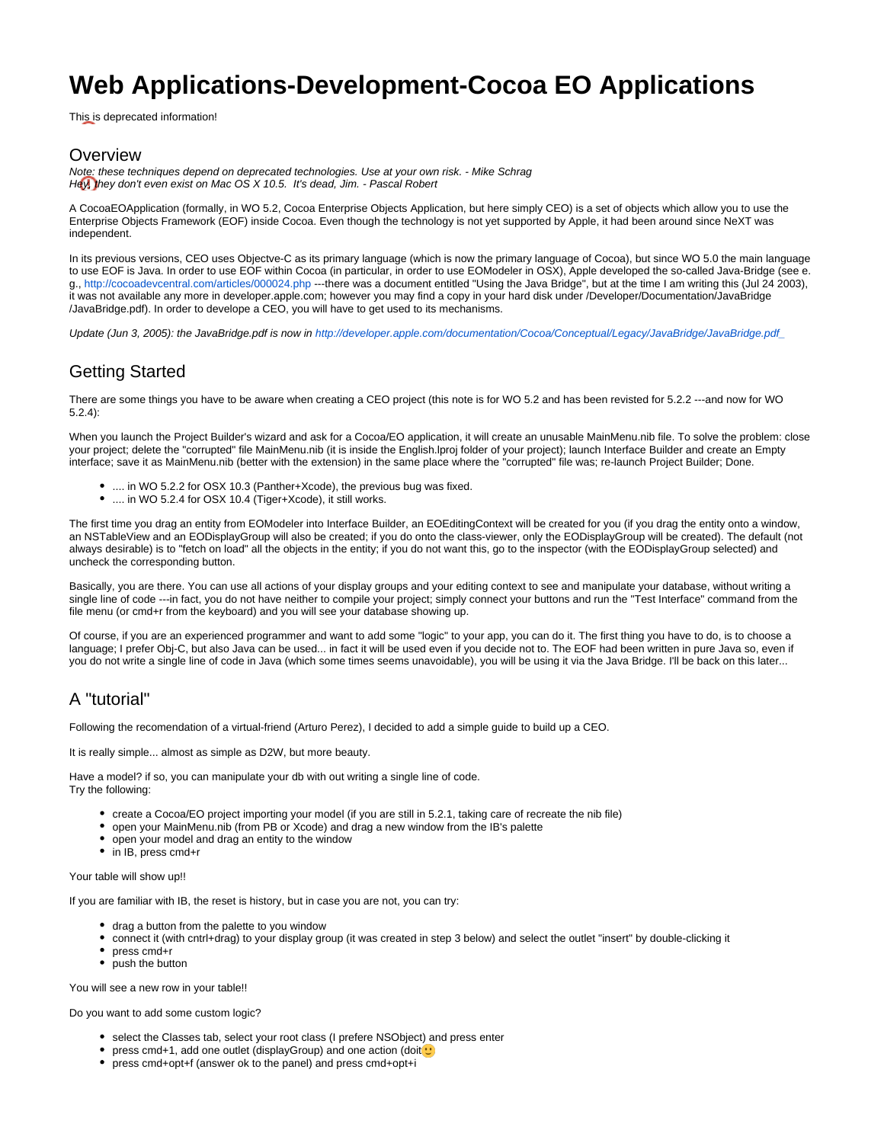# **Web Applications-Development-Cocoa EO Applications**

This is deprecated information!

### Overview

Note: these techniques depend on deprecated technologies. Use at your own risk. - Mike Schrag Hey, they don't even exist on Mac OS X 10.5. It's dead, Jim. - Pascal Robert

A CocoaEOApplication (formally, in WO 5.2, Cocoa Enterprise Objects Application, but here simply CEO) is a set of objects which allow you to use the Enterprise Objects Framework (EOF) inside Cocoa. Even though the technology is not yet supported by Apple, it had been around since NeXT was independent.

In its previous versions, CEO uses Objectve-C as its primary language (which is now the primary language of Cocoa), but since WO 5.0 the main language to use EOF is Java. In order to use EOF within Cocoa (in particular, in order to use EOModeler in OSX), Apple developed the so-called Java-Bridge (see e. g.,<http://cocoadevcentral.com/articles/000024.php>---there was a document entitled "Using the Java Bridge", but at the time I am writing this (Jul 24 2003), it was not available any more in developer.apple.com; however you may find a copy in your hard disk under /Developer/Documentation/JavaBridge /JavaBridge.pdf). In order to develope a CEO, you will have to get used to its mechanisms.

Update (Jun 3, 2005): the JavaBridge.pdf is now in [http://developer.apple.com/documentation/Cocoa/Conceptual/Legacy/JavaBridge/JavaBridge.pdf\\_](http://developer.apple.com/documentation/Cocoa/Conceptual/Legacy/JavaBridge/JavaBridge.pdf_)

## Getting Started

There are some things you have to be aware when creating a CEO project (this note is for WO 5.2 and has been revisted for 5.2.2 ---and now for WO 5.2.4):

When you launch the Project Builder's wizard and ask for a Cocoa/EO application, it will create an unusable MainMenu.nib file. To solve the problem: close your project; delete the "corrupted" file MainMenu.nib (it is inside the English.lproj folder of your project); launch Interface Builder and create an Empty interface; save it as MainMenu.nib (better with the extension) in the same place where the "corrupted" file was; re-launch Project Builder; Done.

- .... in WO 5.2.2 for OSX 10.3 (Panther+Xcode), the previous bug was fixed.
- .... in WO 5.2.4 for OSX 10.4 (Tiger+Xcode), it still works.

The first time you drag an entity from EOModeler into Interface Builder, an EOEditingContext will be created for you (if you drag the entity onto a window, an NSTableView and an EODisplayGroup will also be created; if you do onto the class-viewer, only the EODisplayGroup will be created). The default (not always desirable) is to "fetch on load" all the objects in the entity; if you do not want this, go to the inspector (with the EODisplayGroup selected) and uncheck the corresponding button.

Basically, you are there. You can use all actions of your display groups and your editing context to see and manipulate your database, without writing a single line of code ---in fact, you do not have neither to compile your project; simply connect your buttons and run the "Test Interface" command from the file menu (or cmd+r from the keyboard) and you will see your database showing up.

Of course, if you are an experienced programmer and want to add some "logic" to your app, you can do it. The first thing you have to do, is to choose a language; I prefer Obj-C, but also Java can be used... in fact it will be used even if you decide not to. The EOF had been written in pure Java so, even if you do not write a single line of code in Java (which some times seems unavoidable), you will be using it via the Java Bridge. I'll be back on this later...

## A "tutorial"

Following the recomendation of a virtual-friend (Arturo Perez), I decided to add a simple guide to build up a CEO.

It is really simple... almost as simple as D2W, but more beauty.

Have a model? if so, you can manipulate your db with out writing a single line of code. Try the following:

- create a Cocoa/EO project importing your model (if you are still in 5.2.1, taking care of recreate the nib file)
- open your MainMenu.nib (from PB or Xcode) and drag a new window from the IB's palette
- open your model and drag an entity to the window
- in IB, press cmd+r

Your table will show up!!

If you are familiar with IB, the reset is history, but in case you are not, you can try:

- drag a button from the palette to you window
- connect it (with cntrl+drag) to your display group (it was created in step 3 below) and select the outlet "insert" by double-clicking it
- press cmd+r

• push the button

You will see a new row in your table!!

Do you want to add some custom logic?

- select the Classes tab, select your root class (I prefere NSObject) and press enter
- press cmd+1, add one outlet (displayGroup) and one action (doit ∪
- press cmd+opt+f (answer ok to the panel) and press cmd+opt+i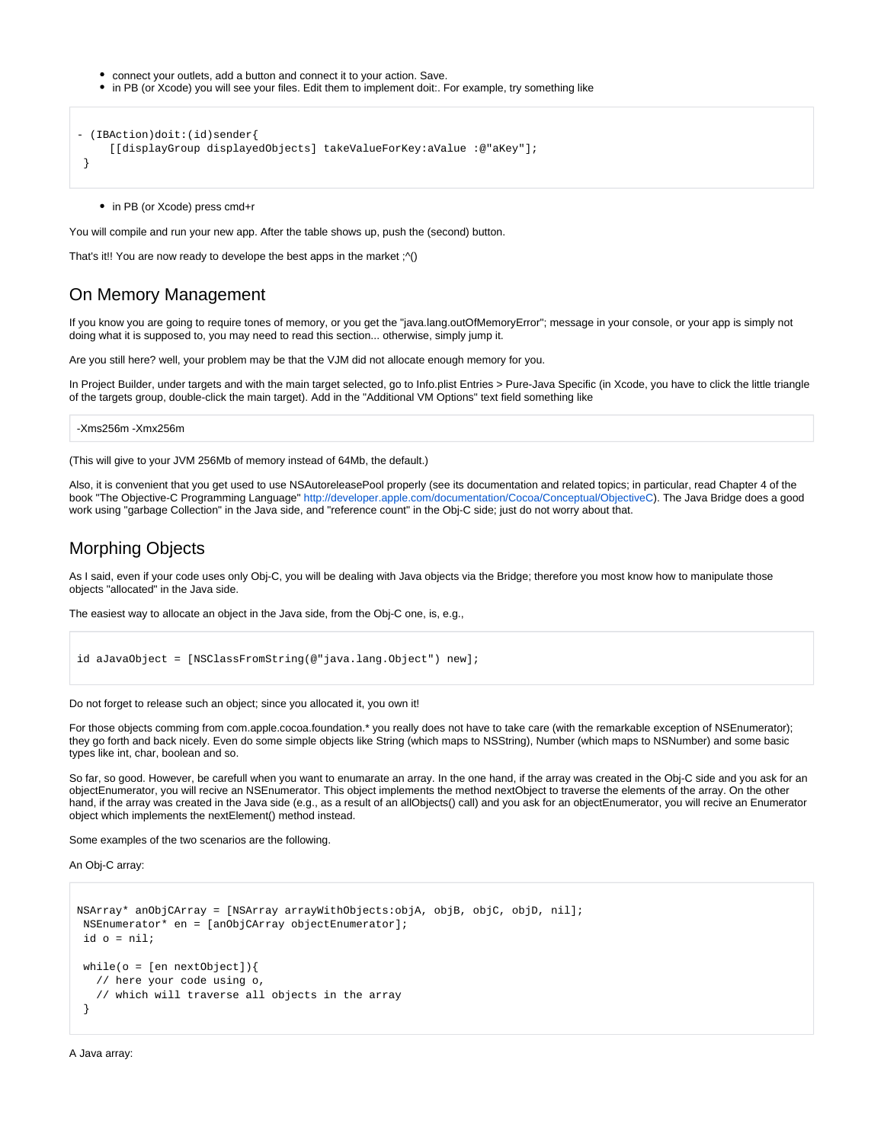- connect your outlets, add a button and connect it to your action. Save.
- in PB (or Xcode) you will see your files. Edit them to implement doit:. For example, try something like

```
- (IBAction)doit:(id)sender{
      [[displayGroup displayedObjects] takeValueForKey:aValue :@"aKey"];
  }
```
• in PB (or Xcode) press cmd+r

You will compile and run your new app. After the table shows up, push the (second) button.

That's it!! You are now ready to develope the best apps in the market ;^()

### On Memory Management

If you know you are going to require tones of memory, or you get the "java.lang.outOfMemoryError"; message in your console, or your app is simply not doing what it is supposed to, you may need to read this section... otherwise, simply jump it.

Are you still here? well, your problem may be that the VJM did not allocate enough memory for you.

In Project Builder, under targets and with the main target selected, go to Info.plist Entries > Pure-Java Specific (in Xcode, you have to click the little triangle of the targets group, double-click the main target). Add in the "Additional VM Options" text field something like

-Xms256m -Xmx256m

(This will give to your JVM 256Mb of memory instead of 64Mb, the default.)

Also, it is convenient that you get used to use NSAutoreleasePool properly (see its documentation and related topics; in particular, read Chapter 4 of the book "The Objective-C Programming Language" [http://developer.apple.com/documentation/Cocoa/Conceptual/ObjectiveC\)](http://developer.apple.com/documentation/Cocoa/Conceptual/ObjectiveC). The Java Bridge does a good work using "garbage Collection" in the Java side, and "reference count" in the Obj-C side; just do not worry about that.

#### Morphing Objects

As I said, even if your code uses only Obj-C, you will be dealing with Java objects via the Bridge; therefore you most know how to manipulate those objects "allocated" in the Java side.

The easiest way to allocate an object in the Java side, from the Obj-C one, is, e.g.,

```
id aJavaObject = [NSClassFromString(@"java.lang.Object") new];
```
Do not forget to release such an object; since you allocated it, you own it!

For those objects comming from com.apple.cocoa.foundation.\* you really does not have to take care (with the remarkable exception of NSEnumerator); they go forth and back nicely. Even do some simple objects like String (which maps to NSString), Number (which maps to NSNumber) and some basic types like int, char, boolean and so.

So far, so good. However, be carefull when you want to enumarate an array. In the one hand, if the array was created in the Obj-C side and you ask for an objectEnumerator, you will recive an NSEnumerator. This object implements the method nextObject to traverse the elements of the array. On the other hand, if the array was created in the Java side (e.g., as a result of an allObjects() call) and you ask for an objectEnumerator, you will recive an Enumerator object which implements the nextElement() method instead.

Some examples of the two scenarios are the following.

An Obj-C array:

```
NSArray* anObjCArray = [NSArray arrayWithObjects:objA, objB, objC, objD, nil];
 NSEnumerator* en = [anObjCArray objectEnumerator];
 id o = nil;
while(o = [en nextObject]){
   // here your code using o,
    // which will traverse all objects in the array
 }
```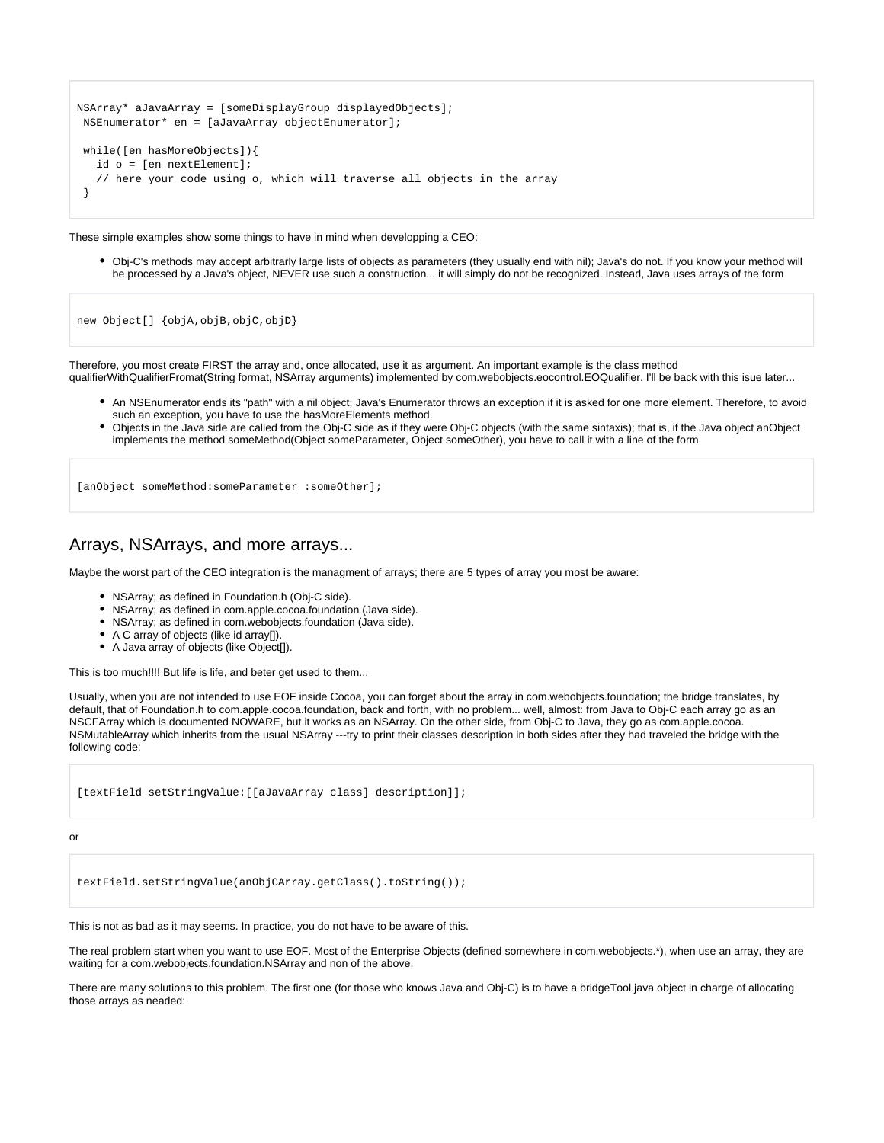```
NSArray* aJavaArray = [someDisplayGroup displayedObjects];
 NSEnumerator* en = [aJavaArray objectEnumerator];
 while([en hasMoreObjects]){
   id o = [en nextElement];
    // here your code using o, which will traverse all objects in the array
  }
```
These simple examples show some things to have in mind when developping a CEO:

Obj-C's methods may accept arbitrarly large lists of objects as parameters (they usually end with nil); Java's do not. If you know your method will be processed by a Java's object, NEVER use such a construction... it will simply do not be recognized. Instead, Java uses arrays of the form

new Object[] {objA,objB,objC,objD}

Therefore, you most create FIRST the array and, once allocated, use it as argument. An important example is the class method qualifierWithQualifierFromat(String format, NSArray arguments) implemented by com.webobjects.eocontrol.EOQualifier. I'll be back with this isue later...

- An NSEnumerator ends its "path" with a nil object; Java's Enumerator throws an exception if it is asked for one more element. Therefore, to avoid such an exception, you have to use the hasMoreElements method.
- Objects in the Java side are called from the Obj-C side as if they were Obj-C objects (with the same sintaxis); that is, if the Java object anObject implements the method someMethod(Object someParameter, Object someOther), you have to call it with a line of the form

[anObject someMethod:someParameter :someOther];

## Arrays, NSArrays, and more arrays...

Maybe the worst part of the CEO integration is the managment of arrays; there are 5 types of array you most be aware:

- NSArray; as defined in Foundation.h (Obj-C side).
- NSArray; as defined in com.apple.cocoa.foundation (Java side).
- NSArray; as defined in com.webobjects.foundation (Java side).
- A C array of objects (like id array[]).
- A Java array of objects (like Object[]).

This is too much!!!! But life is life, and beter get used to them...

Usually, when you are not intended to use EOF inside Cocoa, you can forget about the array in com.webobjects.foundation; the bridge translates, by default, that of Foundation.h to com.apple.cocoa.foundation, back and forth, with no problem... well, almost: from Java to Obj-C each array go as an NSCFArray which is documented NOWARE, but it works as an NSArray. On the other side, from Obj-C to Java, they go as com.apple.cocoa. NSMutableArray which inherits from the usual NSArray ---try to print their classes description in both sides after they had traveled the bridge with the following code:

[textField setStringValue:[[aJavaArray class] description]];

or

textField.setStringValue(anObjCArray.getClass().toString());

This is not as bad as it may seems. In practice, you do not have to be aware of this.

The real problem start when you want to use EOF. Most of the Enterprise Objects (defined somewhere in com.webobjects.\*), when use an array, they are waiting for a com.webobjects.foundation.NSArray and non of the above.

There are many solutions to this problem. The first one (for those who knows Java and Obj-C) is to have a bridgeTool.java object in charge of allocating those arrays as neaded: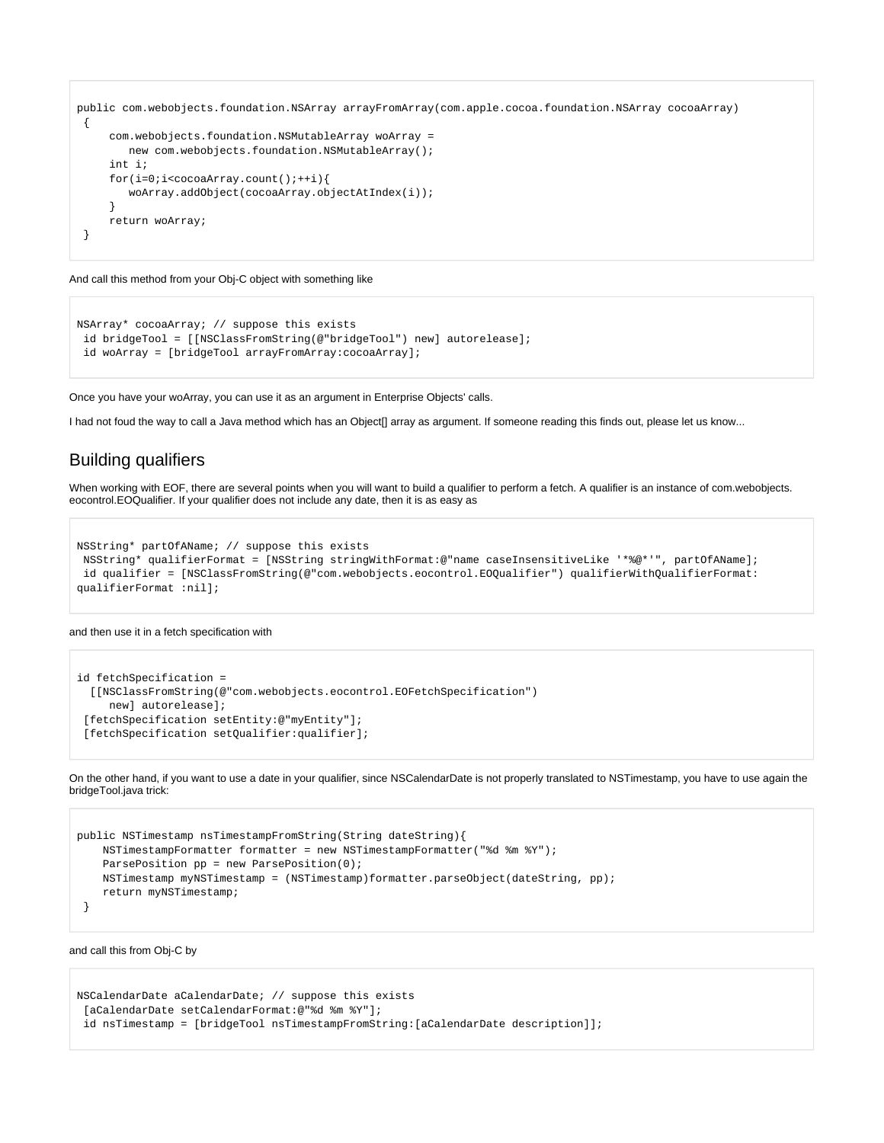```
public com.webobjects.foundation.NSArray arrayFromArray(com.apple.cocoa.foundation.NSArray cocoaArray)
 {
     com.webobjects.foundation.NSMutableArray woArray =
        new com.webobjects.foundation.NSMutableArray();
     int i;
     for(i=0;i<cocoaArray.count();++i){
        woArray.addObject(cocoaArray.objectAtIndex(i));
 }
     return woArray;
 }
```
And call this method from your Obj-C object with something like

```
NSArray* cocoaArray; // suppose this exists
 id bridgeTool = [[NSClassFromString(@"bridgeTool") new] autorelease];
  id woArray = [bridgeTool arrayFromArray:cocoaArray];
```
Once you have your woArray, you can use it as an argument in Enterprise Objects' calls.

I had not foud the way to call a Java method which has an Object[] array as argument. If someone reading this finds out, please let us know...

## Building qualifiers

When working with EOF, there are several points when you will want to build a qualifier to perform a fetch. A qualifier is an instance of com webobjects. eocontrol.EOQualifier. If your qualifier does not include any date, then it is as easy as

```
NSString* partOfAName; // suppose this exists
 NSString* qualifierFormat = [NSString stringWithFormat:@"name caseInsensitiveLike '*%@*'", partOfAName];
  id qualifier = [NSClassFromString(@"com.webobjects.eocontrol.EOQualifier") qualifierWithQualifierFormat:
qualifierFormat :nil];
```
and then use it in a fetch specification with

```
id fetchSpecification =
  [[NSClassFromString(@"com.webobjects.eocontrol.EOFetchSpecification")
     new] autorelease];
 [fetchSpecification setEntity:@"myEntity"];
 [fetchSpecification setQualifier:qualifier];
```
On the other hand, if you want to use a date in your qualifier, since NSCalendarDate is not properly translated to NSTimestamp, you have to use again the bridgeTool.java trick:

```
public NSTimestamp nsTimestampFromString(String dateString){
    NSTimestampFormatter formatter = new NSTimestampFormatter("%d %m %Y");
    ParsePosition pp = new ParsePosition(0);
    NSTimestamp myNSTimestamp = (NSTimestamp)formatter.parseObject(dateString, pp);
     return myNSTimestamp;
  }
```
and call this from Obj-C by

```
NSCalendarDate aCalendarDate; // suppose this exists
 [aCalendarDate setCalendarFormat:@"%d %m %Y"];
  id nsTimestamp = [bridgeTool nsTimestampFromString:[aCalendarDate description]];
```